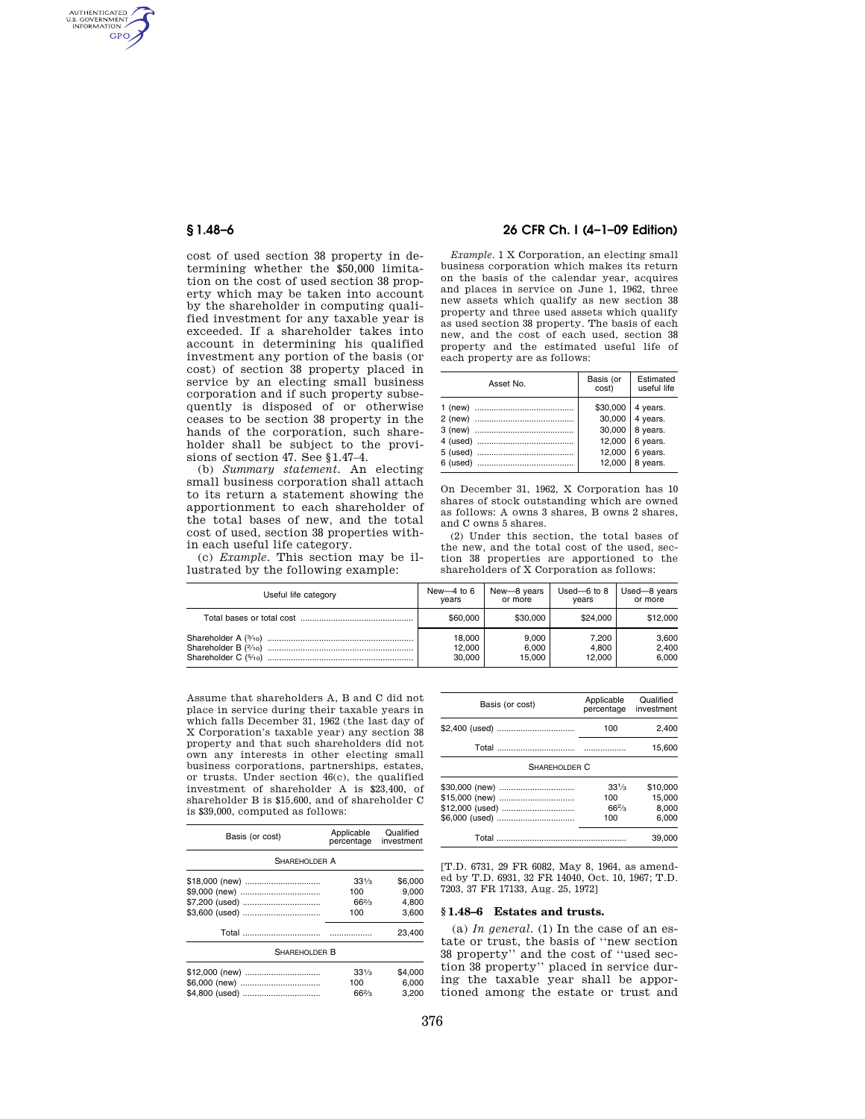AUTHENTICATED<br>U.S. GOVERNMENT<br>INFORMATION **GPO** 

> cost of used section 38 property in determining whether the \$50,000 limitation on the cost of used section 38 property which may be taken into account by the shareholder in computing qualified investment for any taxable year is exceeded. If a shareholder takes into account in determining his qualified investment any portion of the basis (or cost) of section 38 property placed in service by an electing small business corporation and if such property subsequently is disposed of or otherwise ceases to be section 38 property in the hands of the corporation, such shareholder shall be subject to the provisions of section 47. See §1.47–4.

> (b) *Summary statement.* An electing small business corporation shall attach to its return a statement showing the apportionment to each shareholder of the total bases of new, and the total cost of used, section 38 properties within each useful life category.

(c) *Example.* This section may be illustrated by the following example:

## **§ 1.48–6 26 CFR Ch. I (4–1–09 Edition)**

*Example.* 1 X Corporation, an electing small business corporation which makes its return on the basis of the calendar year, acquires and places in service on June 1, 1962, three new assets which qualify as new section 38 property and three used assets which qualify as used section 38 property. The basis of each new, and the cost of each used, section 38 property and the estimated useful life of each property are as follows:

| Asset No. | Basis (or<br>cost)                     | Estimated<br>useful life                     |
|-----------|----------------------------------------|----------------------------------------------|
|           | \$30,000<br>30,000<br>30,000<br>12,000 | 4 years.<br>4 years.<br>8 years.<br>6 years. |
| 6 (used)  | 12,000<br>12,000                       | 6 years.<br>8 years.                         |

On December 31, 1962, X Corporation has 10 shares of stock outstanding which are owned as follows: A owns 3 shares, B owns 2 shares, and C owns 5 shares.

(2) Under this section, the total bases of the new, and the total cost of the used, section 38 properties are apportioned to the shareholders of X Corporation as follows:

| Useful life category | New-4 to $6$ | New-8 years | Used- $6$ to $8$ | Used-8 years |
|----------------------|--------------|-------------|------------------|--------------|
|                      | vears        | or more     | vears            | or more      |
|                      | \$60,000     | \$30,000    | \$24.000         | \$12,000     |
|                      | 18.000       | 9.000       | 7.200            | 3,600        |
|                      | 12.000       | 6.000       | 4.800            | 2.400        |
|                      | 30.000       | 15.000      | 12.000           | 6.000        |

Assume that shareholders A, B and C did not place in service during their taxable years in which falls December 31, 1962 (the last day of X Corporation's taxable year) any section 38 property and that such shareholders did not own any interests in other electing small business corporations, partnerships, estates, or trusts. Under section 46(c), the qualified investment of shareholder A is \$23,400, of shareholder B is \$15,600, and of shareholder C is \$39,000, computed as follows:

| Basis (or cost) | Applicable<br>percentage | Qualified<br>investment |
|-----------------|--------------------------|-------------------------|
| SHAREHOLDER A   |                          |                         |
| \$18,000 (new)  | $33\frac{1}{3}$          | \$6,000                 |
| \$9,000 (new)   | 100                      | 9.000                   |
| \$7,200 (used)  | $66\frac{2}{3}$          | 4.800                   |
| \$3,600 (used)  | 100                      | 3.600                   |
|                 |                          | 23,400                  |
| SHAREHOLDER B   |                          |                         |
| \$12,000 (new)  | $33\frac{1}{3}$          | \$4,000                 |
| \$6,000 (new)   | 100                      | 6.000                   |
| \$4,800 (used)  | $66\frac{2}{3}$          | 3.200                   |

| Basis (or cost)                                     | Applicable<br>percentage                  | Qualified<br>investment     |  |
|-----------------------------------------------------|-------------------------------------------|-----------------------------|--|
| \$2,400 (used)                                      | 100                                       | 2.400                       |  |
|                                                     |                                           | 15.600                      |  |
| SHAREHOLDER C                                       |                                           |                             |  |
| \$30,000 (new)<br>\$15,000 (new)<br>\$12,000 (used) | $33\frac{1}{3}$<br>100<br>$66\frac{2}{3}$ | \$10,000<br>15.000<br>8.000 |  |
| \$6,000 (used)                                      | 100                                       | 6.000                       |  |
|                                                     |                                           | 39.000                      |  |

[T.D. 6731, 29 FR 6082, May 8, 1964, as amended by T.D. 6931, 32 FR 14040, Oct. 10, 1967; T.D. 7203, 37 FR 17133, Aug. 25, 1972]

### **§ 1.48–6 Estates and trusts.**

 $(a)$  *In general.* (1) In the case of an estate or trust, the basis of ''new section 38 property'' and the cost of ''used section 38 property'' placed in service during the taxable year shall be apportioned among the estate or trust and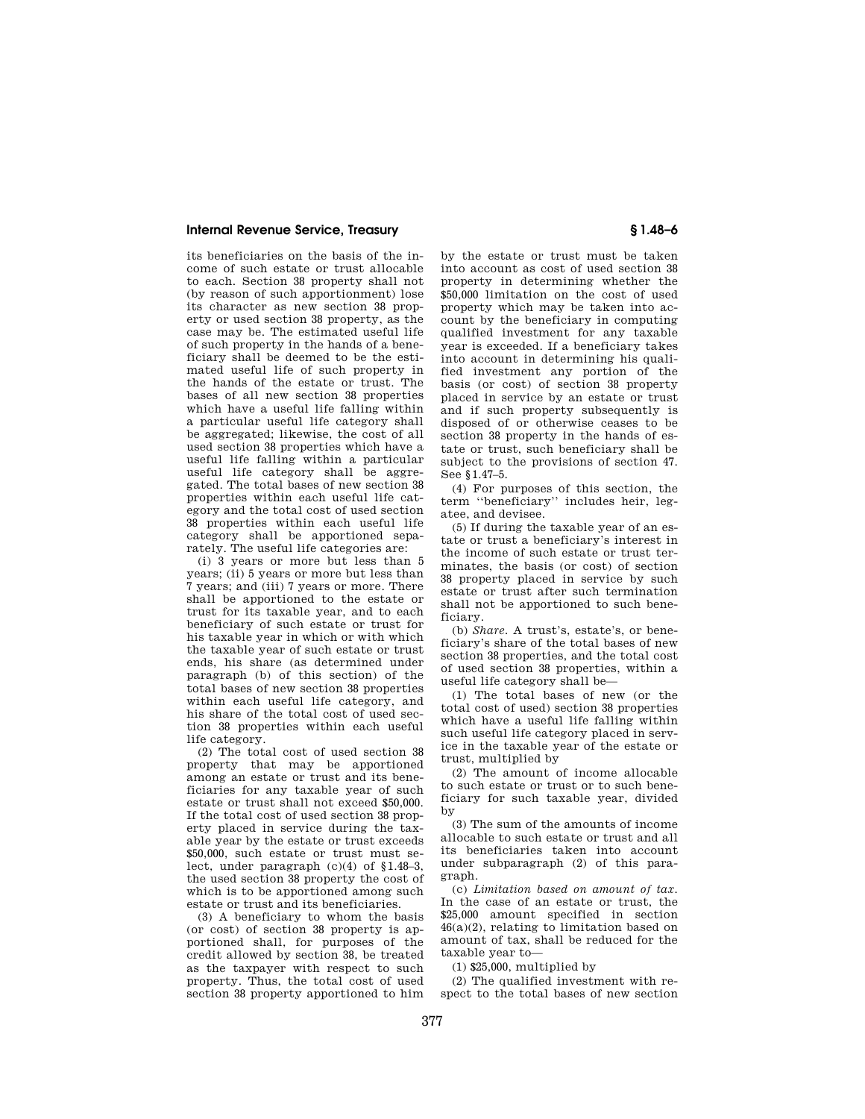### **Internal Revenue Service, Treasury § 1.48–6**

its beneficiaries on the basis of the income of such estate or trust allocable to each. Section 38 property shall not (by reason of such apportionment) lose its character as new section 38 property or used section 38 property, as the case may be. The estimated useful life of such property in the hands of a beneficiary shall be deemed to be the estimated useful life of such property in the hands of the estate or trust. The bases of all new section 38 properties which have a useful life falling within a particular useful life category shall be aggregated; likewise, the cost of all used section 38 properties which have a useful life falling within a particular useful life category shall be aggregated. The total bases of new section 38 properties within each useful life category and the total cost of used section 38 properties within each useful life category shall be apportioned separately. The useful life categories are:

(i) 3 years or more but less than 5 years; (ii) 5 years or more but less than 7 years; and (iii) 7 years or more. There shall be apportioned to the estate or trust for its taxable year, and to each beneficiary of such estate or trust for his taxable year in which or with which the taxable year of such estate or trust ends, his share (as determined under paragraph (b) of this section) of the total bases of new section 38 properties within each useful life category, and his share of the total cost of used section 38 properties within each useful life category.

(2) The total cost of used section 38 property that may be apportioned among an estate or trust and its beneficiaries for any taxable year of such estate or trust shall not exceed \$50,000. If the total cost of used section 38 property placed in service during the taxable year by the estate or trust exceeds \$50,000, such estate or trust must select, under paragraph  $(c)(4)$  of  $$1.48-3$ . the used section 38 property the cost of which is to be apportioned among such estate or trust and its beneficiaries.

(3) A beneficiary to whom the basis (or cost) of section 38 property is apportioned shall, for purposes of the credit allowed by section 38, be treated as the taxpayer with respect to such property. Thus, the total cost of used section 38 property apportioned to him

by the estate or trust must be taken into account as cost of used section 38 property in determining whether the \$50,000 limitation on the cost of used property which may be taken into account by the beneficiary in computing qualified investment for any taxable year is exceeded. If a beneficiary takes into account in determining his qualified investment any portion of the basis (or cost) of section 38 property placed in service by an estate or trust and if such property subsequently is disposed of or otherwise ceases to be section 38 property in the hands of estate or trust, such beneficiary shall be subject to the provisions of section 47. See §1.47–5.

(4) For purposes of this section, the term ''beneficiary'' includes heir, legatee, and devisee.

(5) If during the taxable year of an estate or trust a beneficiary's interest in the income of such estate or trust terminates, the basis (or cost) of section 38 property placed in service by such estate or trust after such termination shall not be apportioned to such beneficiary.

(b) *Share.* A trust's, estate's, or beneficiary's share of the total bases of new section 38 properties, and the total cost of used section 38 properties, within a useful life category shall be—

(1) The total bases of new (or the total cost of used) section 38 properties which have a useful life falling within such useful life category placed in service in the taxable year of the estate or trust, multiplied by

(2) The amount of income allocable to such estate or trust or to such beneficiary for such taxable year, divided by

(3) The sum of the amounts of income allocable to such estate or trust and all its beneficiaries taken into account under subparagraph (2) of this paragraph.

(c) *Limitation based on amount of tax.*  In the case of an estate or trust, the \$25,000 amount specified in section 46(a)(2), relating to limitation based on amount of tax, shall be reduced for the taxable year to—

(1) \$25,000, multiplied by

(2) The qualified investment with respect to the total bases of new section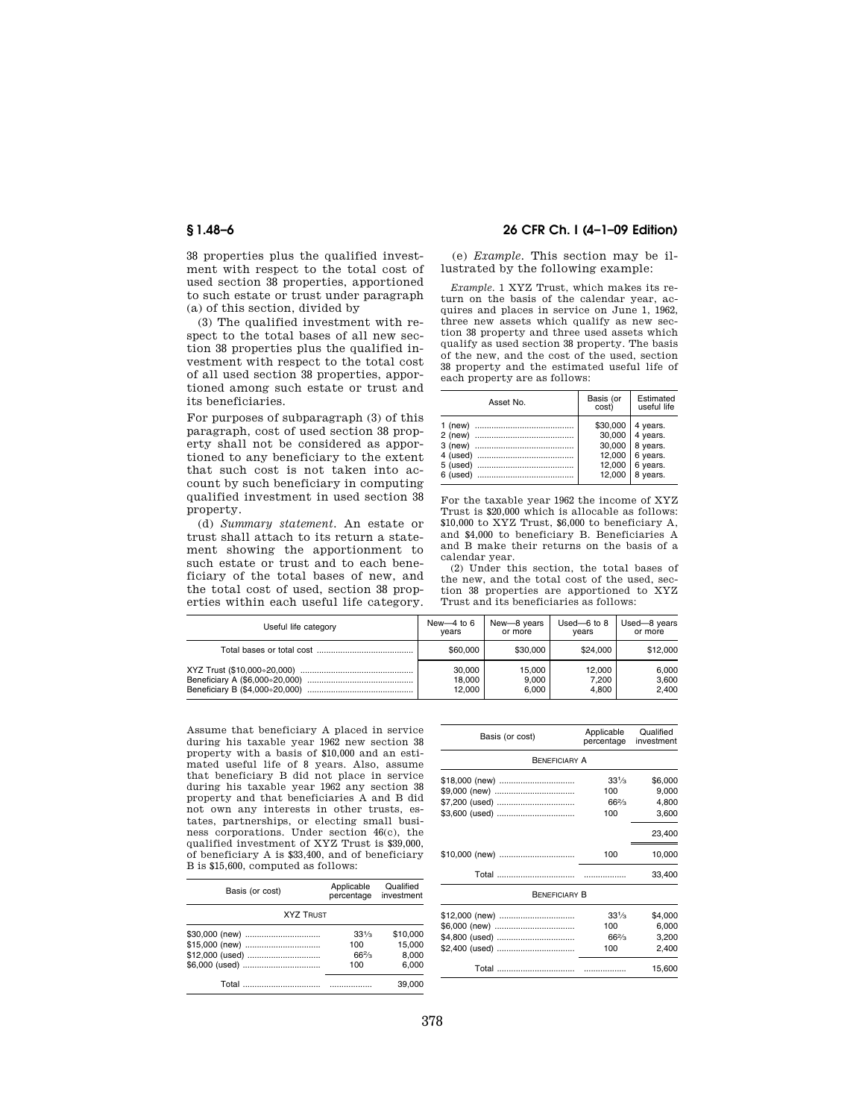38 properties plus the qualified investment with respect to the total cost of used section 38 properties, apportioned to such estate or trust under paragraph (a) of this section, divided by

(3) The qualified investment with respect to the total bases of all new section 38 properties plus the qualified investment with respect to the total cost of all used section 38 properties, apportioned among such estate or trust and its beneficiaries.

For purposes of subparagraph (3) of this paragraph, cost of used section 38 property shall not be considered as apportioned to any beneficiary to the extent that such cost is not taken into account by such beneficiary in computing qualified investment in used section 38 property.

(d) *Summary statement.* An estate or trust shall attach to its return a statement showing the apportionment to such estate or trust and to each beneficiary of the total bases of new, and the total cost of used, section 38 properties within each useful life category.

# **§ 1.48–6 26 CFR Ch. I (4–1–09 Edition)**

(e) *Example.* This section may be illustrated by the following example:

*Example.* 1 XYZ Trust, which makes its return on the basis of the calendar year, acquires and places in service on June 1, 1962, three new assets which qualify as new section 38 property and three used assets which qualify as used section 38 property. The basis of the new, and the cost of the used, section 38 property and the estimated useful life of each property are as follows:

| \$30,000<br>4 years.<br>$30,000$   4 years.<br>$30,000$   8 years.<br>12,000   6 years.<br>12,000   6 years. | Asset No. | Basis (or<br>cost) | Estimated<br>useful life |
|--------------------------------------------------------------------------------------------------------------|-----------|--------------------|--------------------------|
|                                                                                                              |           | 12,000             | 8 years.                 |

For the taxable year 1962 the income of XYZ Trust is \$20,000 which is allocable as follows: \$10,000 to XYZ Trust, \$6,000 to beneficiary A, and \$4,000 to beneficiary B. Beneficiaries A and B make their returns on the basis of a calendar year.

(2) Under this section, the total bases of the new, and the total cost of the used, section 38 properties are apportioned to XYZ Trust and its beneficiaries as follows:

| Useful life category                                             | New-4 to $6$<br>vears      | New-8 years<br>or more   | Used- $6$ to $8$<br>vears | Used-8 years<br>or more |
|------------------------------------------------------------------|----------------------------|--------------------------|---------------------------|-------------------------|
|                                                                  | \$60,000                   | \$30,000                 | \$24.000                  | \$12,000                |
| Beneficiary A (\$6,000÷20,000)<br>Beneficiary B (\$4,000÷20,000) | 30,000<br>18.000<br>12.000 | 15.000<br>9.000<br>6.000 | 12.000<br>7.200<br>4.800  | 6.000<br>3.600<br>2.400 |

Assume that beneficiary A placed in service during his taxable year 1962 new section 38 property with a basis of \$10,000 and an estimated useful life of 8 years. Also, assume that beneficiary B did not place in service during his taxable year 1962 any section 38 property and that beneficiaries A and B did not own any interests in other trusts, estates, partnerships, or electing small business corporations. Under section 46(c), the qualified investment of XYZ Trust is \$39,000, of beneficiary A is \$33,400, and of beneficiary B is \$15,600, computed as follows:

| Basis (or cost)  | Applicable<br>percentage | Qualified<br>investment |  |
|------------------|--------------------------|-------------------------|--|
| <b>XYZ TRUST</b> |                          |                         |  |
| \$30,000 (new)   | $33\frac{1}{3}$          | \$10,000                |  |
| \$15,000 (new)   | 100                      | 15.000                  |  |
| \$12,000 (used)  | $66\frac{2}{3}$          | 8.000                   |  |
| \$6,000 (used)   | 100                      | 6.000                   |  |
|                  |                          | 39.000                  |  |

| Basis (or cost)      | Applicable<br>percentage | Qualified<br>investment |  |  |
|----------------------|--------------------------|-------------------------|--|--|
| <b>BENEFICIARY A</b> |                          |                         |  |  |
| \$18,000 (new)       | $33\frac{1}{3}$          | \$6,000                 |  |  |
| \$9,000 (new)        | 100                      | 9,000                   |  |  |
| \$7,200 (used)       | $66\frac{2}{3}$          | 4,800                   |  |  |
| \$3,600 (used)       | 100                      | 3,600                   |  |  |
|                      |                          | 23,400                  |  |  |
| \$10,000 (new)       | 100                      | 10,000                  |  |  |
|                      |                          | 33,400                  |  |  |
| <b>BENEFICIARY B</b> |                          |                         |  |  |
| \$12,000 (new)       | $33\frac{1}{3}$          | \$4,000                 |  |  |
| \$6,000 (new)        | 100                      | 6,000                   |  |  |
| \$4,800 (used)       | $66\frac{2}{3}$          | 3,200                   |  |  |
| \$2,400 (used)       | 100                      | 2,400                   |  |  |
| Total                |                          | 15,600                  |  |  |
|                      |                          |                         |  |  |